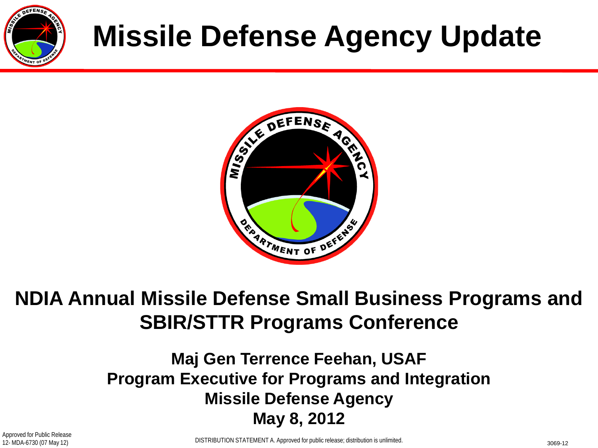

# **Missile Defense Agency Update**



### **NDIA Annual Missile Defense Small Business Programs and SBIR/STTR Programs Conference**

#### **Maj Gen Terrence Feehan, USAF Program Executive for Programs and Integration Missile Defense Agency May 8, 2012**

Approved for Public Release 12- MDA-6730 (07 May 12)

DISTRIBUTION STATEMENT A. Approved for public release; distribution is unlimited.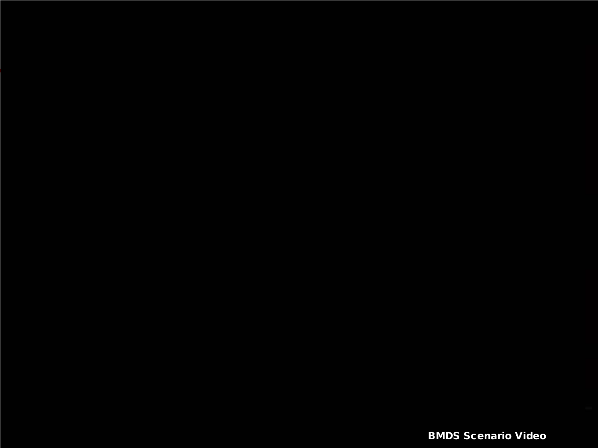BMDS Scenario Video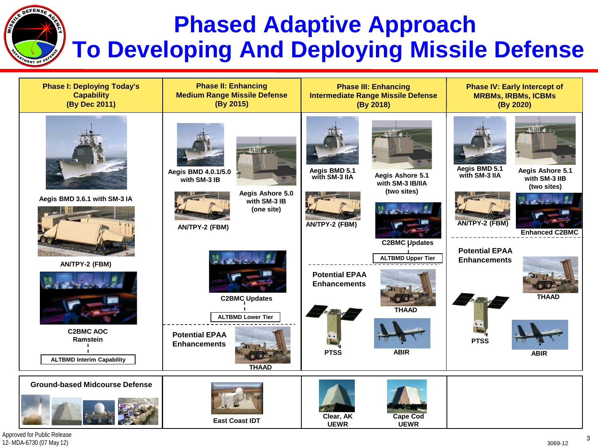## **Phased Adaptive Approach To Developing And Deploying Missile Defense**



Approved for Public Release 12- MDA-6730 (07 May 12)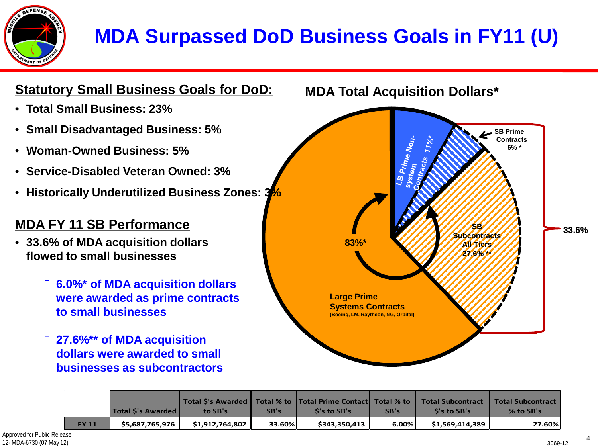

### **MDA Surpassed DoD Business Goals in FY11 (U)**



|              | Total S's Awarded I | to SB's         | SB's   | Total S's Awarded   Total % to   Total Prime Contact   Total % to<br>S's to SB's | SB's     | <b>Total Subcontract</b><br>S's to SB's | <b>Total Subcontract</b><br>$%$ to SB's |
|--------------|---------------------|-----------------|--------|----------------------------------------------------------------------------------|----------|-----------------------------------------|-----------------------------------------|
| <b>FY 11</b> | \$5,687,765,976     | \$1.912.764.802 | 33.60% | \$343.350.413                                                                    | $6.00\%$ | \$1,569,414,389                         | 27.60%                                  |

**33.6%**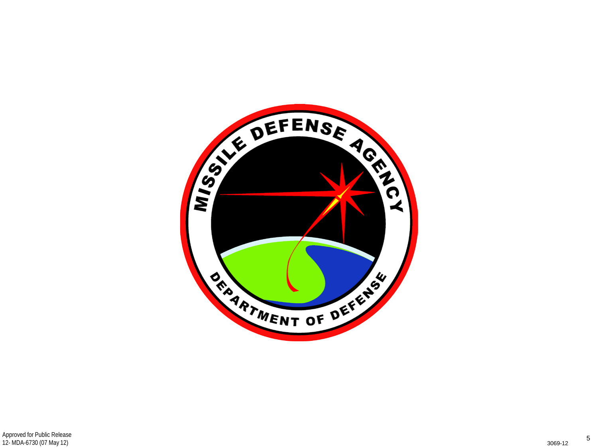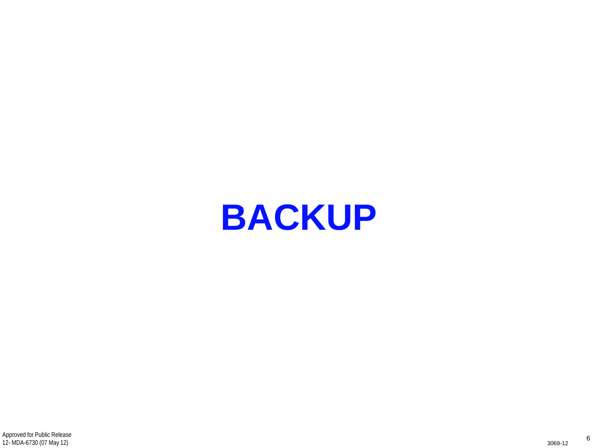**BACKUP**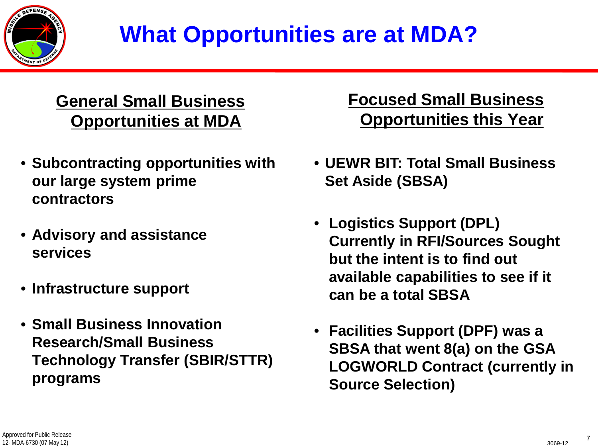

# **What Opportunities are at MDA?**

#### **General Small Business Opportunities at MDA**

- **Subcontracting opportunities with our large system prime contractors**
- **Advisory and assistance services**
- **Infrastructure support**
- **Small Business Innovation Research/Small Business Technology Transfer (SBIR/STTR) programs**

#### **Focused Small Business Opportunities this Year**

- **UEWR BIT: Total Small Business Set Aside (SBSA)**
- **Logistics Support (DPL) Currently in RFI/Sources Sought but the intent is to find out available capabilities to see if it can be a total SBSA**
- **Facilities Support (DPF) was a SBSA that went 8(a) on the GSA LOGWORLD Contract (currently in Source Selection)**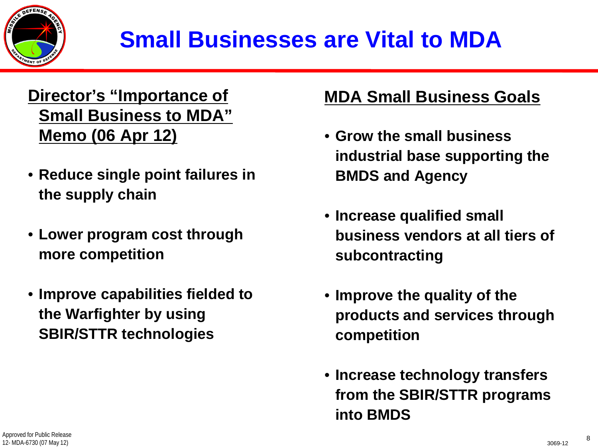

# **Small Businesses are Vital to MDA**

#### **Director's "Importance of Small Business to MDA" Memo (06 Apr 12)**

- **Reduce single point failures in the supply chain**
- **Lower program cost through more competition**
- **Improve capabilities fielded to the Warfighter by using SBIR/STTR technologies**

#### **MDA Small Business Goals**

- **Grow the small business industrial base supporting the BMDS and Agency**
- **Increase qualified small business vendors at all tiers of subcontracting**
- **Improve the quality of the products and services through competition**
- **Increase technology transfers from the SBIR/STTR programs into BMDS**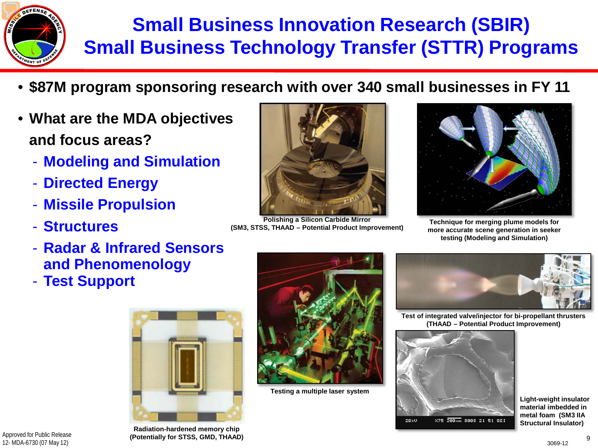

### **Small Business Innovation Research (SBIR) Small Business Technology Transfer (STTR) Programs**

- **\$87M program sponsoring research with over 340 small businesses in FY 11**
- **What are the MDA objectives and focus areas?**
	- **Modeling and Simulation**
	- **Directed Energy**
	- **Missile Propulsion**
	- **Structures**
	- **Radar & Infrared Sensors and Phenomenology**
	- **Test Support**





**Polishing a Silicon Carbide Mirror (SM3, STSS, THAAD – Potential Product Improvement)**



**Technique for merging plume models for more accurate scene generation in seeker testing (Modeling and Simulation)**



**Testing a multiple laser system**



**Test of integrated valve/injector for bi-propellant thrusters (THAAD – Potential Product Improvement)**



**Light-weight insulator material imbedded in metal foam (SM3 IIA Structural Insulator)**

3069-12

Approved for Public Release 12- MDA-6730 (07 May 12)

**Radiation-hardened memory chip (Potentially for STSS, GMD, THAAD)**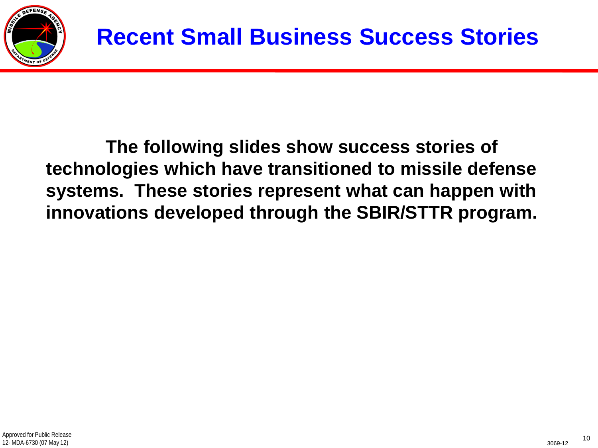

**The following slides show success stories of technologies which have transitioned to missile defense systems. These stories represent what can happen with innovations developed through the SBIR/STTR program.**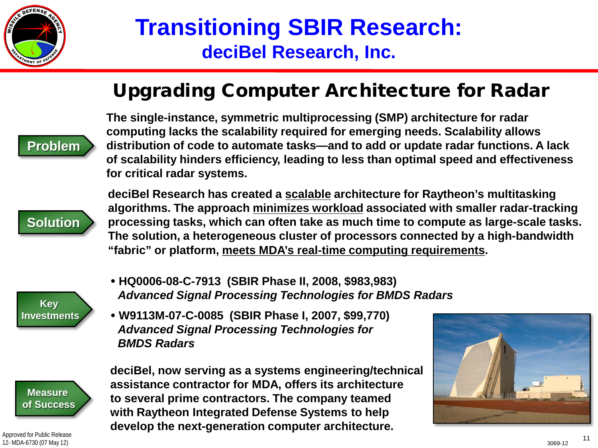

### **Transitioning SBIR Research: deciBel Research, Inc.**

#### Upgrading Computer Architecture for Radar



**The single-instance, symmetric multiprocessing (SMP) architecture for radar computing lacks the scalability required for emerging needs. Scalability allows distribution of code to automate tasks—and to add or update radar functions. A lack of scalability hinders efficiency, leading to less than optimal speed and effectiveness for critical radar systems.**



**deciBel Research has created a scalable architecture for Raytheon's multitasking algorithms. The approach minimizes workload associated with smaller radar-tracking processing tasks, which can often take as much time to compute as large-scale tasks. The solution, a heterogeneous cluster of processors connected by a high-bandwidth "fabric" or platform, meets MDA's real-time computing requirements.**



- **HQ0006-08-C-7913 (SBIR Phase II, 2008, \$983,983)** *Advanced Signal Processing Technologies for BMDS Radars*
- **W9113M-07-C-0085 (SBIR Phase I, 2007, \$99,770)** *Advanced Signal Processing Technologies for BMDS Radars*



Approved for Public Release 12- MDA-6730 (07 May 12)

**deciBel, now serving as a systems engineering/technical assistance contractor for MDA, offers its architecture to several prime contractors. The company teamed with Raytheon Integrated Defense Systems to help develop the next-generation computer architecture.**

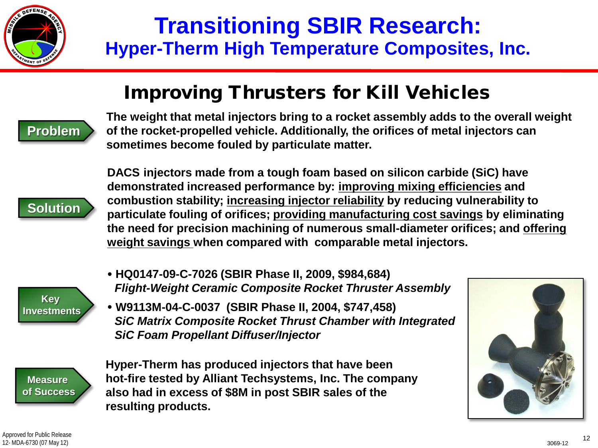

### **Transitioning SBIR Research: Hyper-Therm High Temperature Composites, Inc.**

#### Improving Thrusters for Kill Vehicles



**The weight that metal injectors bring to a rocket assembly adds to the overall weight of the rocket-propelled vehicle. Additionally, the orifices of metal injectors can sometimes become fouled by particulate matter.**



**DACS injectors made from a tough foam based on silicon carbide (SiC) have demonstrated increased performance by: improving mixing efficiencies and combustion stability; increasing injector reliability by reducing vulnerability to particulate fouling of orifices; providing manufacturing cost savings by eliminating the need for precision machining of numerous small-diameter orifices; and offering weight savings when compared with comparable metal injectors.**

- **Key Investments**
- **HQ0147-09-C-7026 (SBIR Phase II, 2009, \$984,684)** *Flight-Weight Ceramic Composite Rocket Thruster Assembly*
- **W9113M-04-C-0037 (SBIR Phase II, 2004, \$747,458)** *SiC Matrix Composite Rocket Thrust Chamber with Integrated SiC Foam Propellant Diffuser/Injector*

**Measure of Success** **Hyper-Therm has produced injectors that have been hot-fire tested by Alliant Techsystems, Inc. The company also had in excess of \$8M in post SBIR sales of the resulting products.**

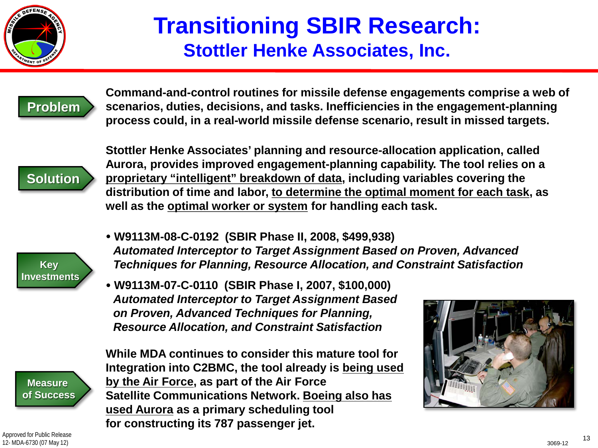

### **Transitioning SBIR Research: Stottler Henke Associates, Inc.**



**Command-and-control routines for missile defense engagements comprise a web of scenarios, duties, decisions, and tasks. Inefficiencies in the engagement-planning process could, in a real-world missile defense scenario, result in missed targets.** 



**Stottler Henke Associates' planning and resource-allocation application, called Aurora, provides improved engagement-planning capability. The tool relies on a proprietary "intelligent" breakdown of data, including variables covering the distribution of time and labor, to determine the optimal moment for each task, as well as the optimal worker or system for handling each task.**

- **Key Investments**
- **W9113M-08-C-0192 (SBIR Phase II, 2008, \$499,938)** *Automated Interceptor to Target Assignment Based on Proven, Advanced Techniques for Planning, Resource Allocation, and Constraint Satisfaction*
- **W9113M-07-C-0110 (SBIR Phase I, 2007, \$100,000)** *Automated Interceptor to Target Assignment Based on Proven, Advanced Techniques for Planning, Resource Allocation, and Constraint Satisfaction*

**Measure of Success** **While MDA continues to consider this mature tool for Integration into C2BMC, the tool already is being used by the Air Force, as part of the Air Force Satellite Communications Network. Boeing also has used Aurora as a primary scheduling tool for constructing its 787 passenger jet.**